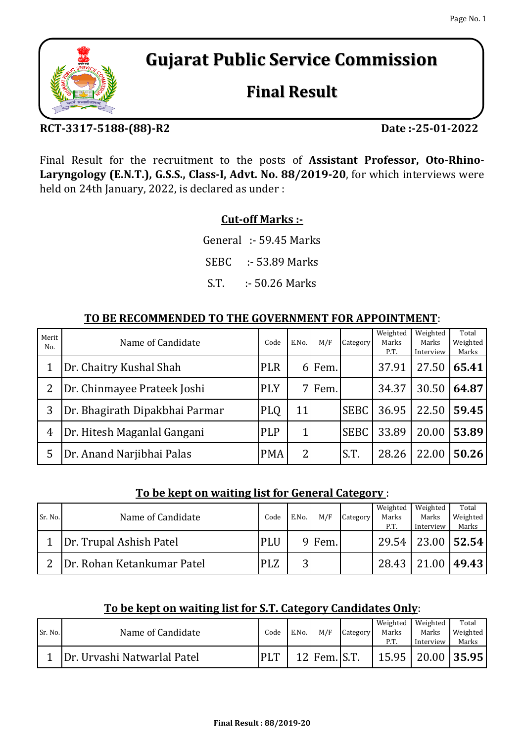# **Gujarat Public Service Commission**

# **Final Result**

## **RCT-3317-5188-(88)-R2**

**Date :-25-01-2022**

Final Result for the recruitment to the posts of **Assistant Professor, Oto-Rhino-Laryngology (E.N.T.), G.S.S., Class-I, Advt. No. 88/2019-20**, for which interviews were held on 24th January, 2022, is declared as under :

## **Cut-off Marks :-**

General :- 59.45 Marks

SEBC :- 53.89 Marks

S.T. :- 50.26 Marks

### **TO BE RECOMMENDED TO THE GOVERNMENT FOR APPOINTMENT**:

| Merit<br>No. | Name of Candidate              | Code       | E.No. | M/F    | Category    | Weighted<br>Marks<br>P.T. | Weighted<br>Marks<br>Interview | Total<br>Weighted<br>Marks |
|--------------|--------------------------------|------------|-------|--------|-------------|---------------------------|--------------------------------|----------------------------|
|              | Dr. Chaitry Kushal Shah        | <b>PLR</b> | 61    | Fem.   |             | 37.91                     | 27.50                          | 65.41                      |
| 2            | Dr. Chinmayee Prateek Joshi    | <b>PLY</b> |       | 7 Fem. |             | 34.37                     | 30.50                          | 64.87                      |
| 3            | Dr. Bhagirath Dipakbhai Parmar | <b>PLQ</b> | 11    |        | <b>SEBC</b> | 36.95                     | 22.50                          | 59.45                      |
| 4            | Dr. Hitesh Maganlal Gangani    | <b>PLP</b> |       |        | <b>SEBC</b> | 33.89                     | 20.00                          | 53.89                      |
| 5            | Dr. Anand Narjibhai Palas      | <b>PMA</b> | 2     |        | S.T.        | 28.26                     | 22.00                          | 50.26                      |

### **To be kept on waiting list for General Category** :

| Sr. No. | Name of Candidate          | Code       | E.No.  | M/F    | Category | Weighted<br>Marks | Weighted<br>Marks                  | Total<br>Weighted |
|---------|----------------------------|------------|--------|--------|----------|-------------------|------------------------------------|-------------------|
|         | Dr. Trupal Ashish Patel    | <b>PLU</b> |        | 9 Fem. |          | P.T.              | Interview<br>29.54   23.00   52.54 | Marks             |
| າ       | Dr. Rohan Ketankumar Patel | <b>PLZ</b> | ◠<br>3 |        |          | 28.43             | 21.00                              | 49.43             |

### **To be kept on waiting list for S.T. Category Candidates Only**:

|         |                             |            |       |                |          | Weighted | Weighted              | Total    |
|---------|-----------------------------|------------|-------|----------------|----------|----------|-----------------------|----------|
| Sr. No. | Name of Candidate           | Code       | E.No. | M/F            | Category | Marks    | Marks                 | Weighted |
|         |                             |            |       |                |          | P.T      | Interview             | Marks    |
|         | Dr. Urvashi Natwarlal Patel | <b>PLT</b> |       | $12$ Fem. S.T. |          |          | 15.95   20.00   35.95 |          |